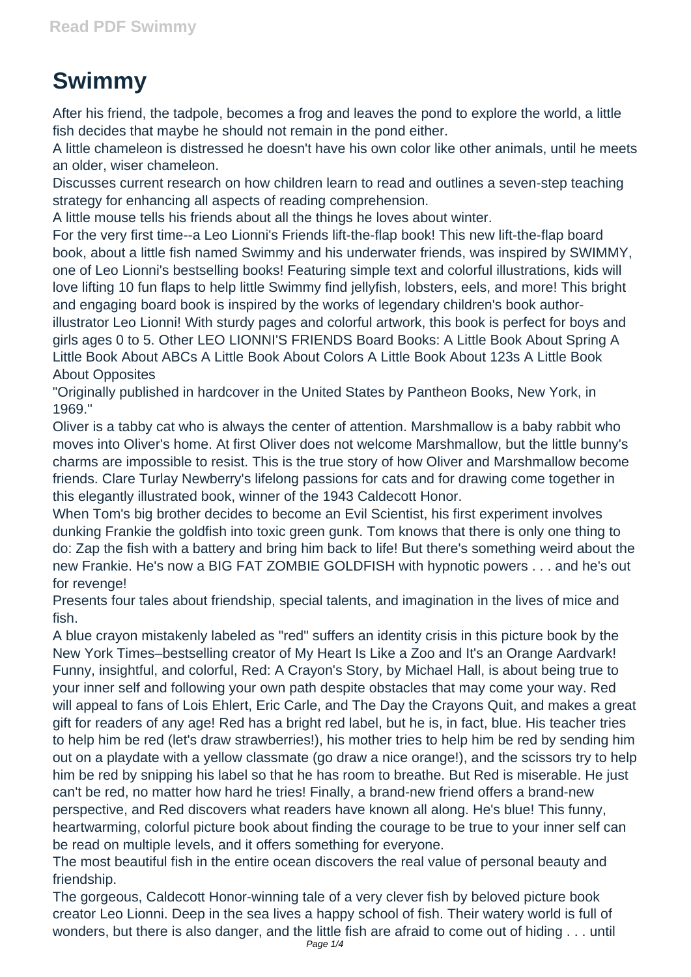## **Swimmy**

After his friend, the tadpole, becomes a frog and leaves the pond to explore the world, a little fish decides that maybe he should not remain in the pond either.

A little chameleon is distressed he doesn't have his own color like other animals, until he meets an older, wiser chameleon.

Discusses current research on how children learn to read and outlines a seven-step teaching strategy for enhancing all aspects of reading comprehension.

A little mouse tells his friends about all the things he loves about winter.

For the very first time--a Leo Lionni's Friends lift-the-flap book! This new lift-the-flap board book, about a little fish named Swimmy and his underwater friends, was inspired by SWIMMY, one of Leo Lionni's bestselling books! Featuring simple text and colorful illustrations, kids will love lifting 10 fun flaps to help little Swimmy find jellyfish, lobsters, eels, and more! This bright and engaging board book is inspired by the works of legendary children's book authorillustrator Leo Lionni! With sturdy pages and colorful artwork, this book is perfect for boys and girls ages 0 to 5. Other LEO LIONNI'S FRIENDS Board Books: A Little Book About Spring A Little Book About ABCs A Little Book About Colors A Little Book About 123s A Little Book About Opposites

"Originally published in hardcover in the United States by Pantheon Books, New York, in 1969."

Oliver is a tabby cat who is always the center of attention. Marshmallow is a baby rabbit who moves into Oliver's home. At first Oliver does not welcome Marshmallow, but the little bunny's charms are impossible to resist. This is the true story of how Oliver and Marshmallow become friends. Clare Turlay Newberry's lifelong passions for cats and for drawing come together in this elegantly illustrated book, winner of the 1943 Caldecott Honor.

When Tom's big brother decides to become an Evil Scientist, his first experiment involves dunking Frankie the goldfish into toxic green gunk. Tom knows that there is only one thing to do: Zap the fish with a battery and bring him back to life! But there's something weird about the new Frankie. He's now a BIG FAT ZOMBIE GOLDFISH with hypnotic powers . . . and he's out for revenge!

Presents four tales about friendship, special talents, and imagination in the lives of mice and fish.

A blue crayon mistakenly labeled as "red" suffers an identity crisis in this picture book by the New York Times–bestselling creator of My Heart Is Like a Zoo and It's an Orange Aardvark! Funny, insightful, and colorful, Red: A Crayon's Story, by Michael Hall, is about being true to your inner self and following your own path despite obstacles that may come your way. Red will appeal to fans of Lois Ehlert, Eric Carle, and The Day the Crayons Quit, and makes a great gift for readers of any age! Red has a bright red label, but he is, in fact, blue. His teacher tries to help him be red (let's draw strawberries!), his mother tries to help him be red by sending him out on a playdate with a yellow classmate (go draw a nice orange!), and the scissors try to help him be red by snipping his label so that he has room to breathe. But Red is miserable. He just can't be red, no matter how hard he tries! Finally, a brand-new friend offers a brand-new perspective, and Red discovers what readers have known all along. He's blue! This funny, heartwarming, colorful picture book about finding the courage to be true to your inner self can be read on multiple levels, and it offers something for everyone.

The most beautiful fish in the entire ocean discovers the real value of personal beauty and friendship.

The gorgeous, Caldecott Honor-winning tale of a very clever fish by beloved picture book creator Leo Lionni. Deep in the sea lives a happy school of fish. Their watery world is full of wonders, but there is also danger, and the little fish are afraid to come out of hiding . . . until Page 1/4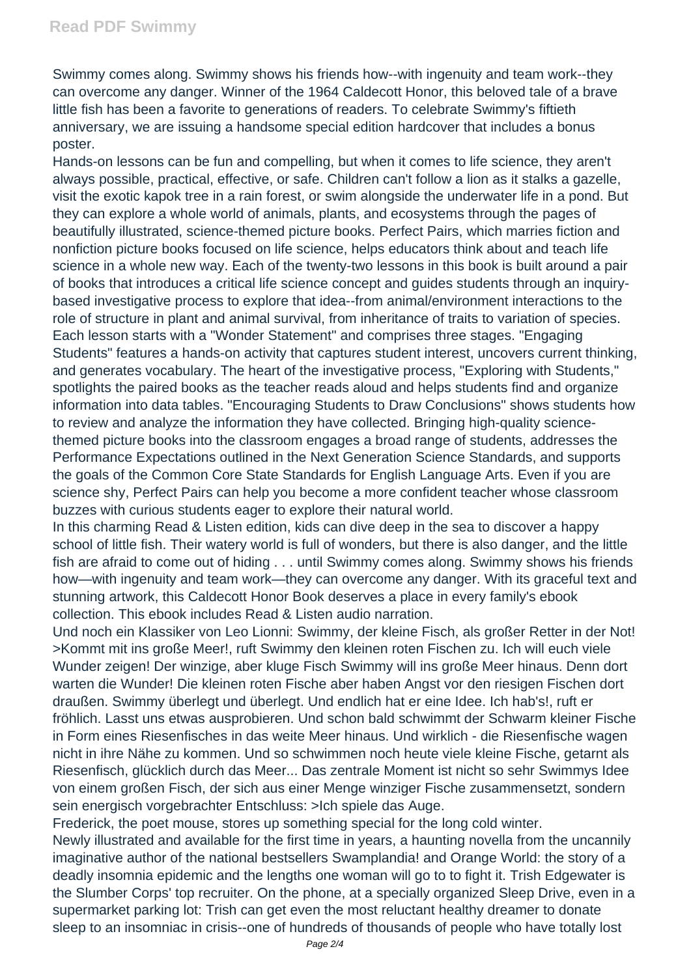Swimmy comes along. Swimmy shows his friends how--with ingenuity and team work--they can overcome any danger. Winner of the 1964 Caldecott Honor, this beloved tale of a brave little fish has been a favorite to generations of readers. To celebrate Swimmy's fiftieth anniversary, we are issuing a handsome special edition hardcover that includes a bonus poster.

Hands-on lessons can be fun and compelling, but when it comes to life science, they aren't always possible, practical, effective, or safe. Children can't follow a lion as it stalks a gazelle, visit the exotic kapok tree in a rain forest, or swim alongside the underwater life in a pond. But they can explore a whole world of animals, plants, and ecosystems through the pages of beautifully illustrated, science-themed picture books. Perfect Pairs, which marries fiction and nonfiction picture books focused on life science, helps educators think about and teach life science in a whole new way. Each of the twenty-two lessons in this book is built around a pair of books that introduces a critical life science concept and guides students through an inquirybased investigative process to explore that idea--from animal/environment interactions to the role of structure in plant and animal survival, from inheritance of traits to variation of species. Each lesson starts with a "Wonder Statement" and comprises three stages. "Engaging Students" features a hands-on activity that captures student interest, uncovers current thinking, and generates vocabulary. The heart of the investigative process, "Exploring with Students," spotlights the paired books as the teacher reads aloud and helps students find and organize information into data tables. "Encouraging Students to Draw Conclusions" shows students how to review and analyze the information they have collected. Bringing high-quality sciencethemed picture books into the classroom engages a broad range of students, addresses the Performance Expectations outlined in the Next Generation Science Standards, and supports the goals of the Common Core State Standards for English Language Arts. Even if you are science shy, Perfect Pairs can help you become a more confident teacher whose classroom buzzes with curious students eager to explore their natural world.

In this charming Read & Listen edition, kids can dive deep in the sea to discover a happy school of little fish. Their watery world is full of wonders, but there is also danger, and the little fish are afraid to come out of hiding . . . until Swimmy comes along. Swimmy shows his friends how—with ingenuity and team work—they can overcome any danger. With its graceful text and stunning artwork, this Caldecott Honor Book deserves a place in every family's ebook collection. This ebook includes Read & Listen audio narration.

Und noch ein Klassiker von Leo Lionni: Swimmy, der kleine Fisch, als großer Retter in der Not! >Kommt mit ins große Meer!, ruft Swimmy den kleinen roten Fischen zu. Ich will euch viele Wunder zeigen! Der winzige, aber kluge Fisch Swimmy will ins große Meer hinaus. Denn dort warten die Wunder! Die kleinen roten Fische aber haben Angst vor den riesigen Fischen dort draußen. Swimmy überlegt und überlegt. Und endlich hat er eine Idee. Ich hab's!, ruft er fröhlich. Lasst uns etwas ausprobieren. Und schon bald schwimmt der Schwarm kleiner Fische in Form eines Riesenfisches in das weite Meer hinaus. Und wirklich - die Riesenfische wagen nicht in ihre Nähe zu kommen. Und so schwimmen noch heute viele kleine Fische, getarnt als Riesenfisch, glücklich durch das Meer... Das zentrale Moment ist nicht so sehr Swimmys Idee von einem großen Fisch, der sich aus einer Menge winziger Fische zusammensetzt, sondern sein energisch vorgebrachter Entschluss: >Ich spiele das Auge.

Frederick, the poet mouse, stores up something special for the long cold winter.

Newly illustrated and available for the first time in years, a haunting novella from the uncannily imaginative author of the national bestsellers Swamplandia! and Orange World: the story of a deadly insomnia epidemic and the lengths one woman will go to to fight it. Trish Edgewater is the Slumber Corps' top recruiter. On the phone, at a specially organized Sleep Drive, even in a supermarket parking lot: Trish can get even the most reluctant healthy dreamer to donate sleep to an insomniac in crisis--one of hundreds of thousands of people who have totally lost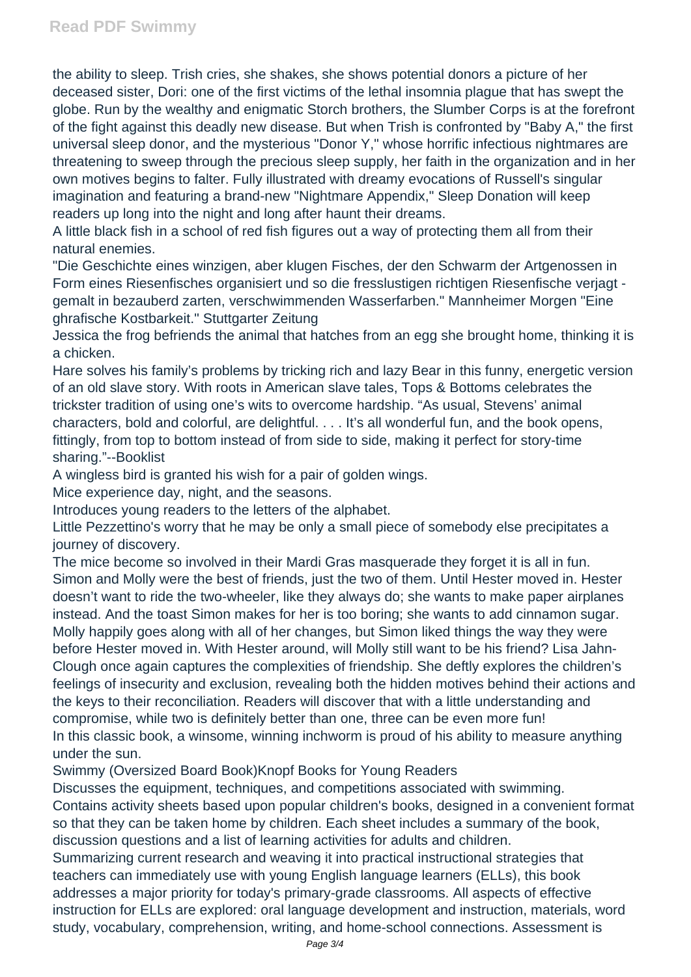the ability to sleep. Trish cries, she shakes, she shows potential donors a picture of her deceased sister, Dori: one of the first victims of the lethal insomnia plague that has swept the globe. Run by the wealthy and enigmatic Storch brothers, the Slumber Corps is at the forefront of the fight against this deadly new disease. But when Trish is confronted by "Baby A," the first universal sleep donor, and the mysterious "Donor Y," whose horrific infectious nightmares are threatening to sweep through the precious sleep supply, her faith in the organization and in her own motives begins to falter. Fully illustrated with dreamy evocations of Russell's singular imagination and featuring a brand-new "Nightmare Appendix," Sleep Donation will keep readers up long into the night and long after haunt their dreams.

A little black fish in a school of red fish figures out a way of protecting them all from their natural enemies.

"Die Geschichte eines winzigen, aber klugen Fisches, der den Schwarm der Artgenossen in Form eines Riesenfisches organisiert und so die fresslustigen richtigen Riesenfische verjagt gemalt in bezauberd zarten, verschwimmenden Wasserfarben." Mannheimer Morgen "Eine ghrafische Kostbarkeit." Stuttgarter Zeitung

Jessica the frog befriends the animal that hatches from an egg she brought home, thinking it is a chicken.

Hare solves his family's problems by tricking rich and lazy Bear in this funny, energetic version of an old slave story. With roots in American slave tales, Tops & Bottoms celebrates the trickster tradition of using one's wits to overcome hardship. "As usual, Stevens' animal characters, bold and colorful, are delightful. . . . It's all wonderful fun, and the book opens, fittingly, from top to bottom instead of from side to side, making it perfect for story-time sharing."--Booklist

A wingless bird is granted his wish for a pair of golden wings.

Mice experience day, night, and the seasons.

Introduces young readers to the letters of the alphabet.

Little Pezzettino's worry that he may be only a small piece of somebody else precipitates a journey of discovery.

The mice become so involved in their Mardi Gras masquerade they forget it is all in fun. Simon and Molly were the best of friends, just the two of them. Until Hester moved in. Hester doesn't want to ride the two-wheeler, like they always do; she wants to make paper airplanes instead. And the toast Simon makes for her is too boring; she wants to add cinnamon sugar. Molly happily goes along with all of her changes, but Simon liked things the way they were before Hester moved in. With Hester around, will Molly still want to be his friend? Lisa Jahn-Clough once again captures the complexities of friendship. She deftly explores the children's feelings of insecurity and exclusion, revealing both the hidden motives behind their actions and the keys to their reconciliation. Readers will discover that with a little understanding and compromise, while two is definitely better than one, three can be even more fun! In this classic book, a winsome, winning inchworm is proud of his ability to measure anything under the sun.

Swimmy (Oversized Board Book)Knopf Books for Young Readers

Discusses the equipment, techniques, and competitions associated with swimming. Contains activity sheets based upon popular children's books, designed in a convenient format so that they can be taken home by children. Each sheet includes a summary of the book, discussion questions and a list of learning activities for adults and children.

Summarizing current research and weaving it into practical instructional strategies that teachers can immediately use with young English language learners (ELLs), this book addresses a major priority for today's primary-grade classrooms. All aspects of effective instruction for ELLs are explored: oral language development and instruction, materials, word study, vocabulary, comprehension, writing, and home-school connections. Assessment is